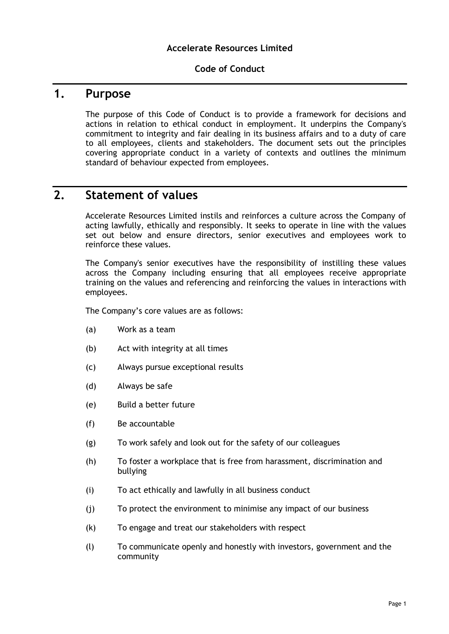#### **Code of Conduct**

# **1. Purpose**

The purpose of this Code of Conduct is to provide a framework for decisions and actions in relation to ethical conduct in employment. It underpins the Company's commitment to integrity and fair dealing in its business affairs and to a duty of care to all employees, clients and stakeholders. The document sets out the principles covering appropriate conduct in a variety of contexts and outlines the minimum standard of behaviour expected from employees.

## **2. Statement of values**

Accelerate Resources Limited instils and reinforces a culture across the Company of acting lawfully, ethically and responsibly. It seeks to operate in line with the values set out below and ensure directors, senior executives and employees work to reinforce these values.

The Company's senior executives have the responsibility of instilling these values across the Company including ensuring that all employees receive appropriate training on the values and referencing and reinforcing the values in interactions with employees.

The Company's core values are as follows:

- (a) Work as a team
- (b) Act with integrity at all times
- (c) Always pursue exceptional results
- (d) Always be safe
- (e) Build a better future
- (f) Be accountable
- (g) To work safely and look out for the safety of our colleagues
- (h) To foster a workplace that is free from harassment, discrimination and bullying
- (i) To act ethically and lawfully in all business conduct
- (j) To protect the environment to minimise any impact of our business
- (k) To engage and treat our stakeholders with respect
- (l) To communicate openly and honestly with investors, government and the community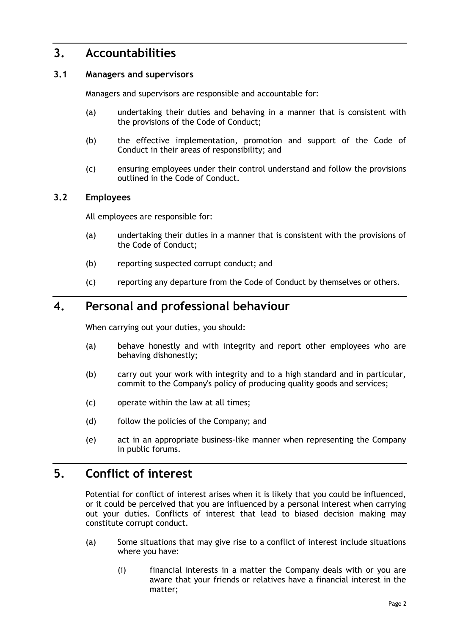## **3. Accountabilities**

#### **3.1 Managers and supervisors**

Managers and supervisors are responsible and accountable for:

- (a) undertaking their duties and behaving in a manner that is consistent with the provisions of the Code of Conduct;
- (b) the effective implementation, promotion and support of the Code of Conduct in their areas of responsibility; and
- (c) ensuring employees under their control understand and follow the provisions outlined in the Code of Conduct.

#### **3.2 Employees**

All employees are responsible for:

- (a) undertaking their duties in a manner that is consistent with the provisions of the Code of Conduct;
- (b) reporting suspected corrupt conduct; and
- (c) reporting any departure from the Code of Conduct by themselves or others.

#### **4. Personal and professional behaviour**

When carrying out your duties, you should:

- (a) behave honestly and with integrity and report other employees who are behaving dishonestly;
- (b) carry out your work with integrity and to a high standard and in particular, commit to the Company's policy of producing quality goods and services;
- (c) operate within the law at all times;
- (d) follow the policies of the Company; and
- (e) act in an appropriate business-like manner when representing the Company in public forums.

## **5. Conflict of interest**

Potential for conflict of interest arises when it is likely that you could be influenced, or it could be perceived that you are influenced by a personal interest when carrying out your duties. Conflicts of interest that lead to biased decision making may constitute corrupt conduct.

- (a) Some situations that may give rise to a conflict of interest include situations where you have:
	- (i) financial interests in a matter the Company deals with or you are aware that your friends or relatives have a financial interest in the matter;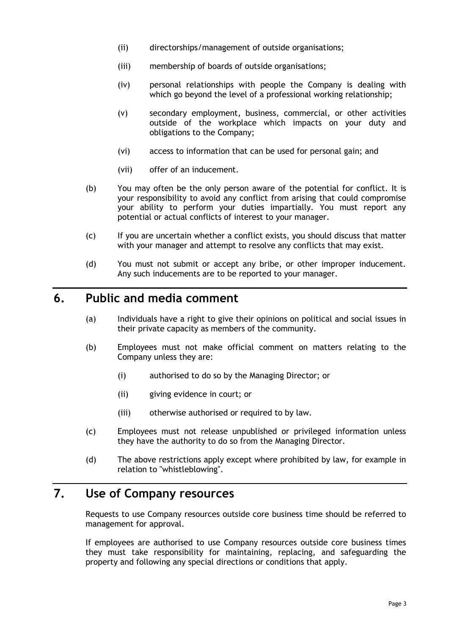- (ii) directorships/management of outside organisations;
- (iii) membership of boards of outside organisations;
- (iv) personal relationships with people the Company is dealing with which go beyond the level of a professional working relationship;
- (v) secondary employment, business, commercial, or other activities outside of the workplace which impacts on your duty and obligations to the Company;
- (vi) access to information that can be used for personal gain; and
- (vii) offer of an inducement.
- (b) You may often be the only person aware of the potential for conflict. It is your responsibility to avoid any conflict from arising that could compromise your ability to perform your duties impartially. You must report any potential or actual conflicts of interest to your manager.
- (c) If you are uncertain whether a conflict exists, you should discuss that matter with your manager and attempt to resolve any conflicts that may exist.
- (d) You must not submit or accept any bribe, or other improper inducement. Any such inducements are to be reported to your manager.

#### **6. Public and media comment**

- (a) Individuals have a right to give their opinions on political and social issues in their private capacity as members of the community.
- (b) Employees must not make official comment on matters relating to the Company unless they are:
	- (i) authorised to do so by the Managing Director; or
	- (ii) giving evidence in court; or
	- (iii) otherwise authorised or required to by law.
- (c) Employees must not release unpublished or privileged information unless they have the authority to do so from the Managing Director.
- (d) The above restrictions apply except where prohibited by law, for example in relation to "whistleblowing".

# **7. Use of Company resources**

Requests to use Company resources outside core business time should be referred to management for approval.

If employees are authorised to use Company resources outside core business times they must take responsibility for maintaining, replacing, and safeguarding the property and following any special directions or conditions that apply.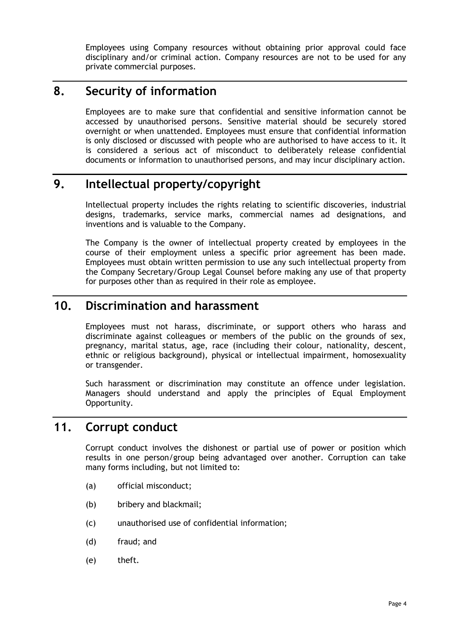Employees using Company resources without obtaining prior approval could face disciplinary and/or criminal action. Company resources are not to be used for any private commercial purposes.

## **8. Security of information**

Employees are to make sure that confidential and sensitive information cannot be accessed by unauthorised persons. Sensitive material should be securely stored overnight or when unattended. Employees must ensure that confidential information is only disclosed or discussed with people who are authorised to have access to it. It is considered a serious act of misconduct to deliberately release confidential documents or information to unauthorised persons, and may incur disciplinary action.

# **9. Intellectual property/copyright**

Intellectual property includes the rights relating to scientific discoveries, industrial designs, trademarks, service marks, commercial names ad designations, and inventions and is valuable to the Company.

The Company is the owner of intellectual property created by employees in the course of their employment unless a specific prior agreement has been made. Employees must obtain written permission to use any such intellectual property from the Company Secretary/Group Legal Counsel before making any use of that property for purposes other than as required in their role as employee.

## **10. Discrimination and harassment**

Employees must not harass, discriminate, or support others who harass and discriminate against colleagues or members of the public on the grounds of sex, pregnancy, marital status, age, race (including their colour, nationality, descent, ethnic or religious background), physical or intellectual impairment, homosexuality or transgender.

Such harassment or discrimination may constitute an offence under legislation. Managers should understand and apply the principles of Equal Employment Opportunity.

### **11. Corrupt conduct**

Corrupt conduct involves the dishonest or partial use of power or position which results in one person/group being advantaged over another. Corruption can take many forms including, but not limited to:

- (a) official misconduct;
- (b) bribery and blackmail;
- (c) unauthorised use of confidential information;
- (d) fraud; and
- (e) theft.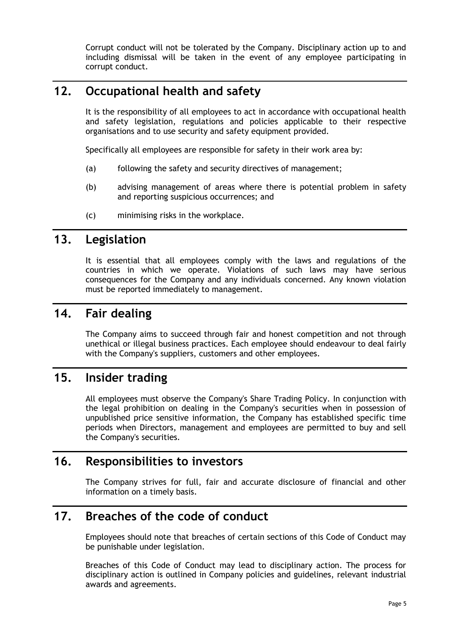Corrupt conduct will not be tolerated by the Company. Disciplinary action up to and including dismissal will be taken in the event of any employee participating in corrupt conduct.

# **12. Occupational health and safety**

It is the responsibility of all employees to act in accordance with occupational health and safety legislation, regulations and policies applicable to their respective organisations and to use security and safety equipment provided.

Specifically all employees are responsible for safety in their work area by:

- (a) following the safety and security directives of management;
- (b) advising management of areas where there is potential problem in safety and reporting suspicious occurrences; and
- (c) minimising risks in the workplace.

#### **13. Legislation**

It is essential that all employees comply with the laws and regulations of the countries in which we operate. Violations of such laws may have serious consequences for the Company and any individuals concerned. Any known violation must be reported immediately to management.

#### **14. Fair dealing**

The Company aims to succeed through fair and honest competition and not through unethical or illegal business practices. Each employee should endeavour to deal fairly with the Company's suppliers, customers and other employees.

#### **15. Insider trading**

All employees must observe the Company's Share Trading Policy. In conjunction with the legal prohibition on dealing in the Company's securities when in possession of unpublished price sensitive information, the Company has established specific time periods when Directors, management and employees are permitted to buy and sell the Company's securities.

## **16. Responsibilities to investors**

The Company strives for full, fair and accurate disclosure of financial and other information on a timely basis.

## **17. Breaches of the code of conduct**

Employees should note that breaches of certain sections of this Code of Conduct may be punishable under legislation.

Breaches of this Code of Conduct may lead to disciplinary action. The process for disciplinary action is outlined in Company policies and guidelines, relevant industrial awards and agreements.